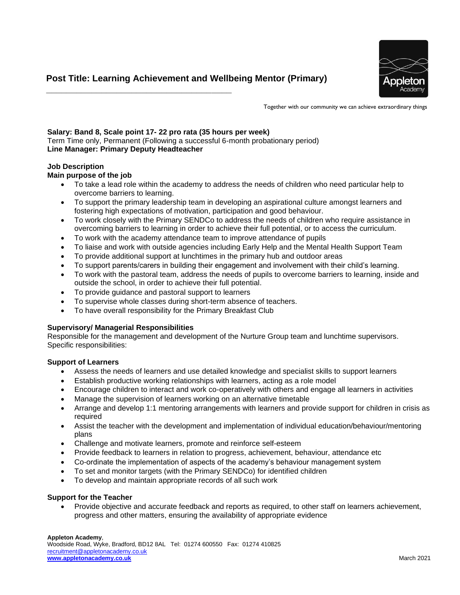

Together with our community we can achieve extraordinary things

# **Salary: Band 8, Scale point 17- 22 pro rata (35 hours per week)**

**\_\_\_\_\_\_\_\_\_\_\_\_\_\_\_\_\_\_\_\_\_\_\_\_\_\_\_\_\_\_\_\_\_\_\_\_\_**

Term Time only, Permanent (Following a successful 6-month probationary period) **Line Manager: Primary Deputy Headteacher** 

# **Job Description**

# **Main purpose of the job**

- To take a lead role within the academy to address the needs of children who need particular help to overcome barriers to learning.
- To support the primary leadership team in developing an aspirational culture amongst learners and fostering high expectations of motivation, participation and good behaviour.
- To work closely with the Primary SENDCo to address the needs of children who require assistance in overcoming barriers to learning in order to achieve their full potential, or to access the curriculum.
- To work with the academy attendance team to improve attendance of pupils
- To liaise and work with outside agencies including Early Help and the Mental Health Support Team
- To provide additional support at lunchtimes in the primary hub and outdoor areas
- To support parents/carers in building their engagement and involvement with their child's learning.
- To work with the pastoral team, address the needs of pupils to overcome barriers to learning, inside and outside the school, in order to achieve their full potential.
- To provide guidance and pastoral support to learners
- To supervise whole classes during short-term absence of teachers.
- To have overall responsibility for the Primary Breakfast Club

#### **Supervisory/ Managerial Responsibilities**

Responsible for the management and development of the Nurture Group team and lunchtime supervisors. Specific responsibilities:

#### **Support of Learners**

- Assess the needs of learners and use detailed knowledge and specialist skills to support learners
- Establish productive working relationships with learners, acting as a role model
- Encourage children to interact and work co-operatively with others and engage all learners in activities
- Manage the supervision of learners working on an alternative timetable
- Arrange and develop 1:1 mentoring arrangements with learners and provide support for children in crisis as required
- Assist the teacher with the development and implementation of individual education/behaviour/mentoring plans
- Challenge and motivate learners, promote and reinforce self-esteem
- Provide feedback to learners in relation to progress, achievement, behaviour, attendance etc
- Co-ordinate the implementation of aspects of the academy's behaviour management system
- To set and monitor targets (with the Primary SENDCo) for identified children
- To develop and maintain appropriate records of all such work

#### **Support for the Teacher**

• Provide objective and accurate feedback and reports as required, to other staff on learners achievement, progress and other matters, ensuring the availability of appropriate evidence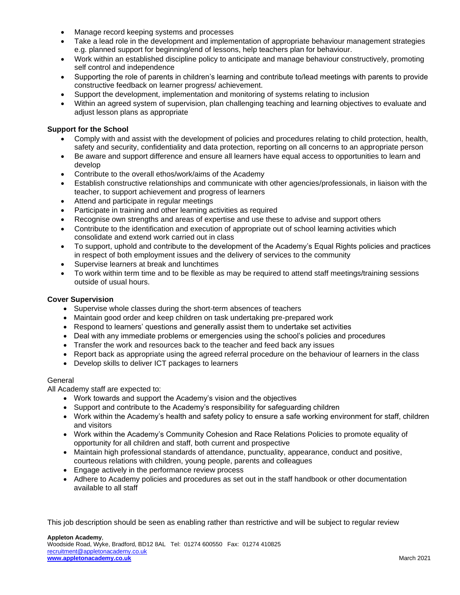- Manage record keeping systems and processes
- Take a lead role in the development and implementation of appropriate behaviour management strategies e.g. planned support for beginning/end of lessons, help teachers plan for behaviour.
- Work within an established discipline policy to anticipate and manage behaviour constructively, promoting self control and independence
- Supporting the role of parents in children's learning and contribute to/lead meetings with parents to provide constructive feedback on learner progress/ achievement.
- Support the development, implementation and monitoring of systems relating to inclusion
- Within an agreed system of supervision, plan challenging teaching and learning objectives to evaluate and adjust lesson plans as appropriate

## **Support for the School**

- Comply with and assist with the development of policies and procedures relating to child protection, health, safety and security, confidentiality and data protection, reporting on all concerns to an appropriate person
- Be aware and support difference and ensure all learners have equal access to opportunities to learn and develop
- Contribute to the overall ethos/work/aims of the Academy
- Establish constructive relationships and communicate with other agencies/professionals, in liaison with the teacher, to support achievement and progress of learners
- Attend and participate in regular meetings
- Participate in training and other learning activities as required
- Recognise own strengths and areas of expertise and use these to advise and support others
- Contribute to the identification and execution of appropriate out of school learning activities which consolidate and extend work carried out in class
- To support, uphold and contribute to the development of the Academy's Equal Rights policies and practices in respect of both employment issues and the delivery of services to the community
- Supervise learners at break and lunchtimes
- To work within term time and to be flexible as may be required to attend staff meetings/training sessions outside of usual hours.

#### **Cover Supervision**

- Supervise whole classes during the short-term absences of teachers
- Maintain good order and keep children on task undertaking pre-prepared work
- Respond to learners' questions and generally assist them to undertake set activities
- Deal with any immediate problems or emergencies using the school's policies and procedures
- Transfer the work and resources back to the teacher and feed back any issues
- Report back as appropriate using the agreed referral procedure on the behaviour of learners in the class
- Develop skills to deliver ICT packages to learners

#### General

All Academy staff are expected to:

- Work towards and support the Academy's vision and the objectives
- Support and contribute to the Academy's responsibility for safeguarding children
- Work within the Academy's health and safety policy to ensure a safe working environment for staff, children and visitors
- Work within the Academy's Community Cohesion and Race Relations Policies to promote equality of opportunity for all children and staff, both current and prospective
- Maintain high professional standards of attendance, punctuality, appearance, conduct and positive, courteous relations with children, young people, parents and colleagues
- Engage actively in the performance review process
- Adhere to Academy policies and procedures as set out in the staff handbook or other documentation available to all staff

This job description should be seen as enabling rather than restrictive and will be subject to regular review